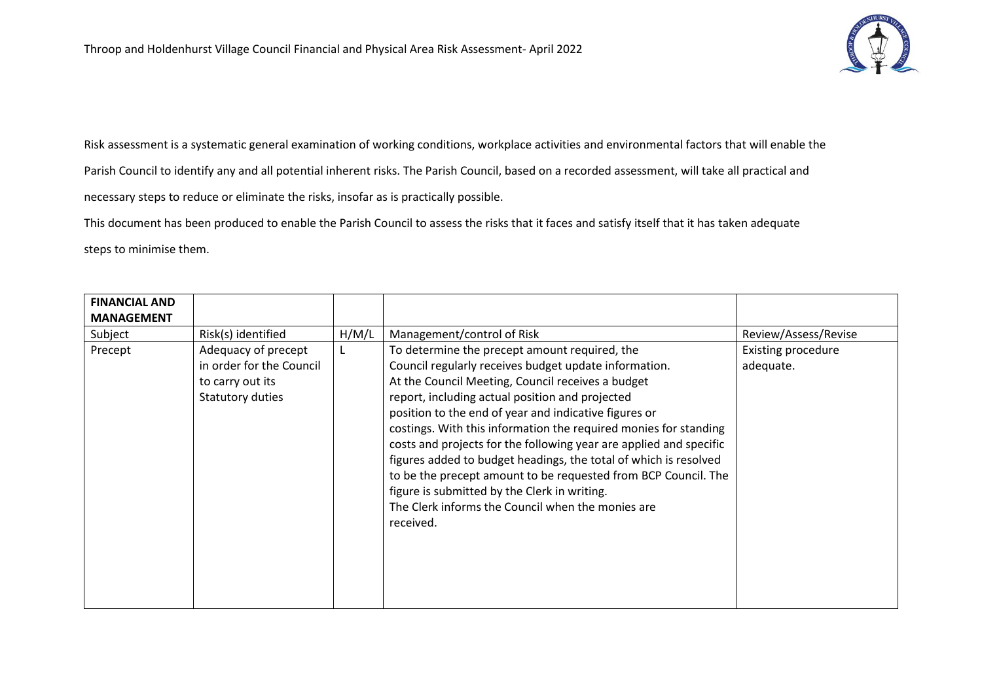

Risk assessment is a systematic general examination of working conditions, workplace activities and environmental factors that will enable the Parish Council to identify any and all potential inherent risks. The Parish Council, based on a recorded assessment, will take all practical and necessary steps to reduce or eliminate the risks, insofar as is practically possible.

This document has been produced to enable the Parish Council to assess the risks that it faces and satisfy itself that it has taken adequate steps to minimise them.

| <b>FINANCIAL AND</b> |                                                                                         |       |                                                                                                                                                                                                                                                                                                                                                                                                                                                                                                                                                                                                                                                              |                                        |
|----------------------|-----------------------------------------------------------------------------------------|-------|--------------------------------------------------------------------------------------------------------------------------------------------------------------------------------------------------------------------------------------------------------------------------------------------------------------------------------------------------------------------------------------------------------------------------------------------------------------------------------------------------------------------------------------------------------------------------------------------------------------------------------------------------------------|----------------------------------------|
| <b>MANAGEMENT</b>    |                                                                                         |       |                                                                                                                                                                                                                                                                                                                                                                                                                                                                                                                                                                                                                                                              |                                        |
| Subject              | Risk(s) identified                                                                      | H/M/L | Management/control of Risk                                                                                                                                                                                                                                                                                                                                                                                                                                                                                                                                                                                                                                   | Review/Assess/Revise                   |
| Precept              | Adequacy of precept<br>in order for the Council<br>to carry out its<br>Statutory duties |       | To determine the precept amount required, the<br>Council regularly receives budget update information.<br>At the Council Meeting, Council receives a budget<br>report, including actual position and projected<br>position to the end of year and indicative figures or<br>costings. With this information the required monies for standing<br>costs and projects for the following year are applied and specific<br>figures added to budget headings, the total of which is resolved<br>to be the precept amount to be requested from BCP Council. The<br>figure is submitted by the Clerk in writing.<br>The Clerk informs the Council when the monies are | <b>Existing procedure</b><br>adequate. |
|                      |                                                                                         |       | received.                                                                                                                                                                                                                                                                                                                                                                                                                                                                                                                                                                                                                                                    |                                        |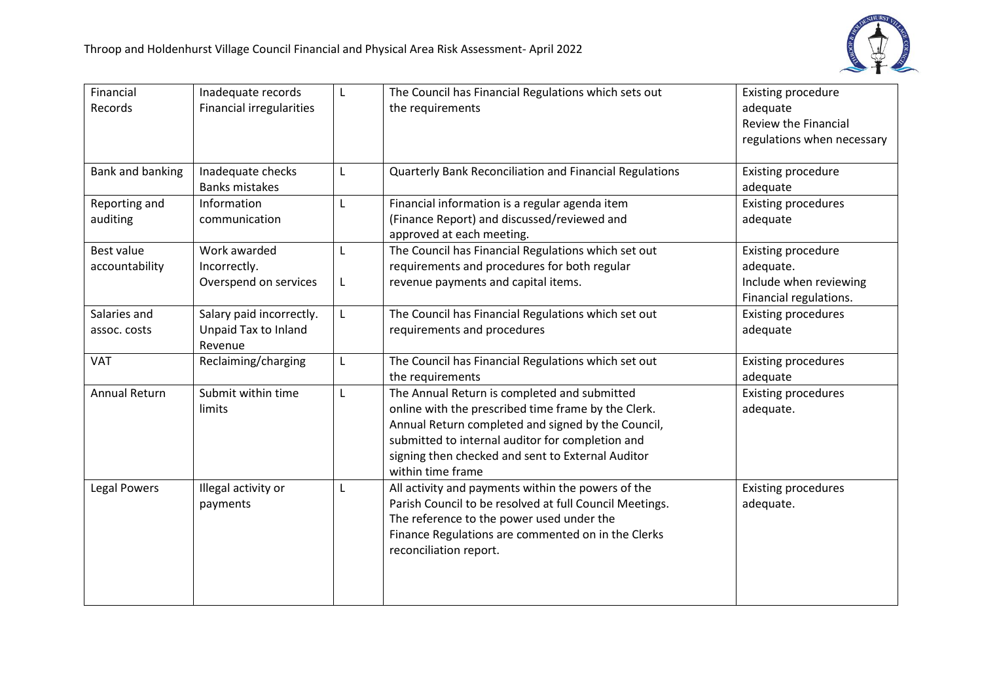

| Financial<br>Records                | Inadequate records<br><b>Financial irregularities</b>       | L            | The Council has Financial Regulations which sets out<br>the requirements                                                                                                                                                                                                                | <b>Existing procedure</b><br>adequate<br><b>Review the Financial</b><br>regulations when necessary |
|-------------------------------------|-------------------------------------------------------------|--------------|-----------------------------------------------------------------------------------------------------------------------------------------------------------------------------------------------------------------------------------------------------------------------------------------|----------------------------------------------------------------------------------------------------|
| <b>Bank and banking</b>             | Inadequate checks<br><b>Banks mistakes</b>                  | $\mathsf{L}$ | Quarterly Bank Reconciliation and Financial Regulations                                                                                                                                                                                                                                 | <b>Existing procedure</b><br>adequate                                                              |
| Reporting and<br>auditing           | Information<br>communication                                | L            | Financial information is a regular agenda item<br>(Finance Report) and discussed/reviewed and<br>approved at each meeting.                                                                                                                                                              | <b>Existing procedures</b><br>adequate                                                             |
| <b>Best value</b><br>accountability | Work awarded<br>Incorrectly.<br>Overspend on services       | L<br>L       | The Council has Financial Regulations which set out<br>requirements and procedures for both regular<br>revenue payments and capital items.                                                                                                                                              | <b>Existing procedure</b><br>adequate.<br>Include when reviewing<br>Financial regulations.         |
| Salaries and<br>assoc. costs        | Salary paid incorrectly.<br>Unpaid Tax to Inland<br>Revenue | L.           | The Council has Financial Regulations which set out<br>requirements and procedures                                                                                                                                                                                                      | <b>Existing procedures</b><br>adequate                                                             |
| <b>VAT</b>                          | Reclaiming/charging                                         | L            | The Council has Financial Regulations which set out<br>the requirements                                                                                                                                                                                                                 | <b>Existing procedures</b><br>adequate                                                             |
| <b>Annual Return</b>                | Submit within time<br>limits                                | L            | The Annual Return is completed and submitted<br>online with the prescribed time frame by the Clerk.<br>Annual Return completed and signed by the Council,<br>submitted to internal auditor for completion and<br>signing then checked and sent to External Auditor<br>within time frame | <b>Existing procedures</b><br>adequate.                                                            |
| Legal Powers                        | Illegal activity or<br>payments                             | L            | All activity and payments within the powers of the<br>Parish Council to be resolved at full Council Meetings.<br>The reference to the power used under the<br>Finance Regulations are commented on in the Clerks<br>reconciliation report.                                              | <b>Existing procedures</b><br>adequate.                                                            |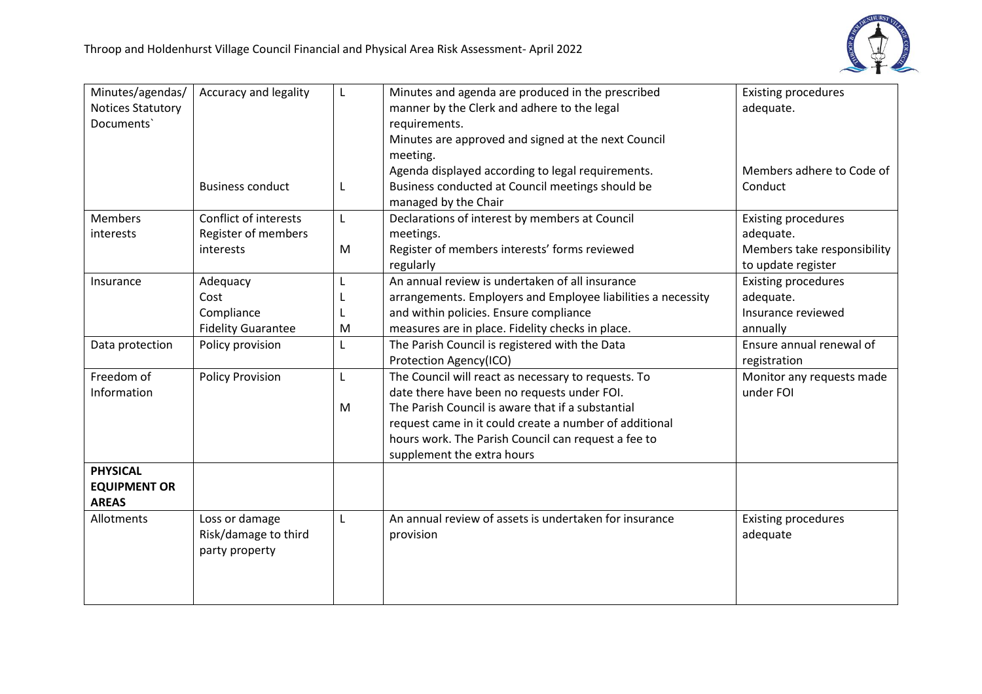

| Minutes/agendas/         | Accuracy and legality        | L            | Minutes and agenda are produced in the prescribed            | <b>Existing procedures</b>  |
|--------------------------|------------------------------|--------------|--------------------------------------------------------------|-----------------------------|
| <b>Notices Statutory</b> |                              |              | manner by the Clerk and adhere to the legal                  | adequate.                   |
| Documents'               |                              |              | requirements.                                                |                             |
|                          |                              |              | Minutes are approved and signed at the next Council          |                             |
|                          |                              |              | meeting.                                                     |                             |
|                          |                              |              | Agenda displayed according to legal requirements.            | Members adhere to Code of   |
|                          | <b>Business conduct</b>      | L            | Business conducted at Council meetings should be             | Conduct                     |
|                          |                              |              | managed by the Chair                                         |                             |
| <b>Members</b>           | <b>Conflict of interests</b> | $\mathsf{L}$ | Declarations of interest by members at Council               | <b>Existing procedures</b>  |
| interests                | Register of members          |              | meetings.                                                    | adequate.                   |
|                          | interests                    | M            | Register of members interests' forms reviewed                | Members take responsibility |
|                          |                              |              | regularly                                                    | to update register          |
| Insurance                | Adequacy                     | L            | An annual review is undertaken of all insurance              | <b>Existing procedures</b>  |
|                          | Cost                         |              | arrangements. Employers and Employee liabilities a necessity | adequate.                   |
|                          | Compliance                   |              | and within policies. Ensure compliance                       | Insurance reviewed          |
|                          | <b>Fidelity Guarantee</b>    | M            | measures are in place. Fidelity checks in place.             | annually                    |
| Data protection          | Policy provision             | L            | The Parish Council is registered with the Data               | Ensure annual renewal of    |
|                          |                              |              | Protection Agency(ICO)                                       | registration                |
| Freedom of               | <b>Policy Provision</b>      | L            | The Council will react as necessary to requests. To          | Monitor any requests made   |
| Information              |                              |              | date there have been no requests under FOI.                  | under FOI                   |
|                          |                              | M            | The Parish Council is aware that if a substantial            |                             |
|                          |                              |              | request came in it could create a number of additional       |                             |
|                          |                              |              | hours work. The Parish Council can request a fee to          |                             |
|                          |                              |              | supplement the extra hours                                   |                             |
| <b>PHYSICAL</b>          |                              |              |                                                              |                             |
| <b>EQUIPMENT OR</b>      |                              |              |                                                              |                             |
| <b>AREAS</b>             |                              |              |                                                              |                             |
| Allotments               | Loss or damage               | L            | An annual review of assets is undertaken for insurance       | <b>Existing procedures</b>  |
|                          | Risk/damage to third         |              | provision                                                    | adequate                    |
|                          | party property               |              |                                                              |                             |
|                          |                              |              |                                                              |                             |
|                          |                              |              |                                                              |                             |
|                          |                              |              |                                                              |                             |